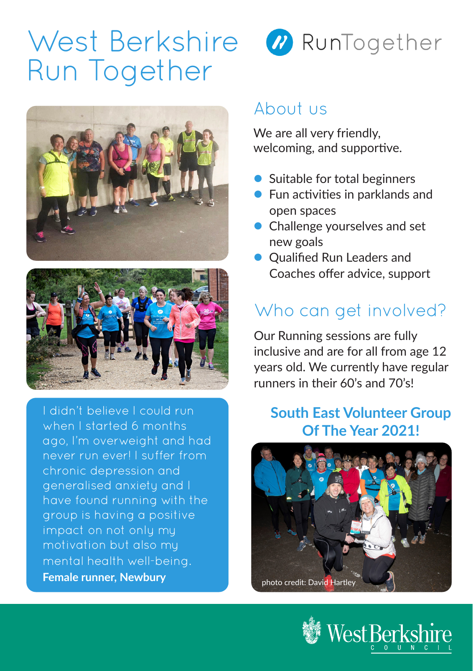# West Berkshire Run Together





I didn't believe I could run when I started 6 months ago, I'm overweight and had never run ever! I suffer from chronic depression and generalised anxiety and I have found running with the group is having a positive impact on not only my motivation but also my mental health well-being. **Female runner, Newbury**



### About us

We are all very friendly, welcoming, and supportive.

- **Suitable for total beginners**
- $\bullet$  Fun activities in parklands and open spaces
- Challenge yourselves and set new goals
- Oualified Run Leaders and Coaches offer advice, support

## Who can get involved?

Our Running sessions are fully inclusive and are for all from age 12 years old. We currently have regular runners in their 60's and 70's!

#### **South East Volunteer Group Of The Year 2021!**